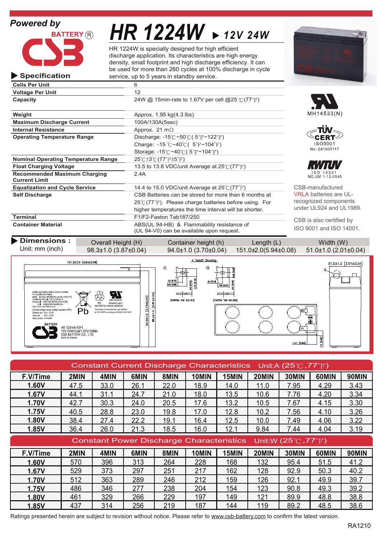**Specification**



*HR 1224W 12V 24W*

HR 1224W is specially designed for high efficient discharge application. Its characteristics are high energy density, small footprint and high discharge efficiency. It can be used for more than 260 cycles at 100% discharge in cycle service, up to 5 years in standby service.

| <b>Cells Per Unit</b>                                       | 6                                                                         |                         |
|-------------------------------------------------------------|---------------------------------------------------------------------------|-------------------------|
| <b>Voltage Per Unit</b>                                     | 12                                                                        |                         |
| Capacity                                                    | 24W @ 15min-rate to 1.67V per cell @25 °C (77°F)                          |                         |
| Weight                                                      | Approx. 1.95 kg(4.3 lbs)                                                  | MH145                   |
| <b>Maximum Discharge Current</b>                            | 100A/130A(5sec)                                                           |                         |
| <b>Internal Resistance</b>                                  | Approx. 21 m $\Omega$                                                     | πÜ                      |
| <b>Operating Temperature Range</b>                          | Discharge: $-15^{\circ}$ C ~50 $\circ$ C (5 $\circ$ F ~122 $\circ$ F)     | <b>CE</b>               |
|                                                             | Charge: -15 $\degree$ C ~40 $\degree$ C (5 $\degree$ F ~104 $\degree$ F)  | ISO <sub>9</sub>        |
|                                                             | Storage: $-15^{\circ}$ C ~40 $\circ$ C (5 $\circ$ F ~104 $\circ$ F)       | No:041                  |
| <b>Nominal Operating Temperature Range</b>                  | $25^{\circ}$ C $\pm 3^{\circ}$ C $(77^{\circ}$ F $\pm 5^{\circ}$ F)       |                         |
| <b>Float Charging Voltage</b>                               | 13.5 to 13.8 VDC/unit Average at $25^{\circ}C(77^{\circ}F)$               |                         |
| <b>Recommended Maximum Charging</b><br><b>Current Limit</b> | 2.4A                                                                      | ISO 1<br><b>NO.UM 1</b> |
| <b>Equalization and Cycle Service</b>                       | 14.4 to 15.0 VDC/unit Average at $25^{\circ}C(77^{\circ}F)$               | CSB-manufa              |
| <b>Self Discharge</b>                                       | CSB Batteries can be stored for more than 6 months at                     | <b>VRLA</b> batteri     |
|                                                             | $25^{\circ}$ (77 $^{\circ}$ F). Please charge batteries before using. For | recognized o            |
|                                                             | higher temperatures the time interval will be shorter.                    | under UL924             |
| <b>Terminal</b>                                             | F1/F2-Faston Tab187/250                                                   | CSB is also             |
| <b>Container Material</b>                                   | ABS(UL 94-HB) & Flammability resistance of                                | $ICA$ $QOM$ an          |
|                                                             |                                                                           |                         |

(UL 94-V0) can be available upon request.







 $I/I'$ 4 0 0 1<br>12 0 0 4 5

actured ies are ULcomponents and UL1989.

certified by O 9001 and ISO 14001.

**Dimensions :** Overall Height (H) Container height (h) Length (L) Width (W)

Unit: mm (inch)

98.3±1.0 (3.87±0.04) 94.0±1.0 (3.70±0.04) 151.0±2.0(5.94±0.08) 51.0±1.0 (2.01±0.04)



| Constant Current Discharge Characteristics Unit:A (25 $\degree$ C, 77 $\degree$ F) |      |      |      |      |                                                                                  |       |       |       |       |              |
|------------------------------------------------------------------------------------|------|------|------|------|----------------------------------------------------------------------------------|-------|-------|-------|-------|--------------|
| F.V/Time                                                                           | 2MIN | 4MIN | 6MIN | 8MIN | 10MIN                                                                            | 15MIN | 20MIN | 30MIN | 60MIN | <b>90MIN</b> |
| 1.60V                                                                              | 47.5 | 33.0 | 26.1 | 22.0 | 18.9                                                                             | 14.0  | 11.0  | 7.95  | 4.29  | 3.43         |
| 1.67V                                                                              | 44.1 | 31.1 | 24.7 | 21.0 | 18.0                                                                             | 13.5  | 10.6  | 7.76  | 4.20  | 3.34         |
| <b>1.70V</b>                                                                       | 42.7 | 30.3 | 24.0 | 20.5 | 17.6                                                                             | 13.2  | 10.5  | 7.67  | 4.15  | 3.30         |
| 1.75V                                                                              | 40.5 | 28.8 | 23.0 | 19.8 | 17.0                                                                             | 12.8  | 10.2  | 7.56  | 4.10  | 3.26         |
| <b>1.80V</b>                                                                       | 38.4 | 27.4 | 22.2 | 19.1 | 16.4                                                                             | 12.5  | 10.0  | 7.49  | 4.06  | 3.22         |
| 1.85V                                                                              | 36.4 | 26.0 | 21.3 | 18.5 | 16.0                                                                             | 12.1  | 9.84  | 7.44  | 4.04  | 3.19         |
|                                                                                    |      |      |      |      |                                                                                  |       |       |       |       |              |
|                                                                                    |      |      |      |      | Constant Power Discharge Characteristics Unit:W (25 $\degree$ C, 77 $\degree$ F) |       |       |       |       |              |
| F.V/Time                                                                           | 2MIN | 4MIN | 6MIN | 8MIN | 10MIN                                                                            | 15MIN | 20MIN | 30MIN | 60MIN | 90MIN        |
| 1.60V                                                                              | 570  | 396  | 313  | 264  | 228                                                                              | 168   | 132   | 95.4  | 51.5  | 41.2         |
| 1.67V                                                                              | 529  | 373  | 297  | 251  | 217                                                                              | 162   | 128   | 92.9  | 50.3  | 40.2         |
| <b>1.70V</b>                                                                       | 512  | 363  | 289  | 246  | 212                                                                              | 159   | 126   | 92.1  | 49.9  | 39.7         |
| 1.75V                                                                              | 486  | 346  | 277  | 238  | 204                                                                              | 154   | 123   | 90.8  | 49.3  | 39.2         |
| 1.80V                                                                              | 461  | 329  | 266  | 229  | 197                                                                              | 149   | 121   | 89.9  | 48.8  | 38.8         |

Ratings presented herein are subject to revision without notice. Please refer to www.csb-battery.com to confirm the latest version.